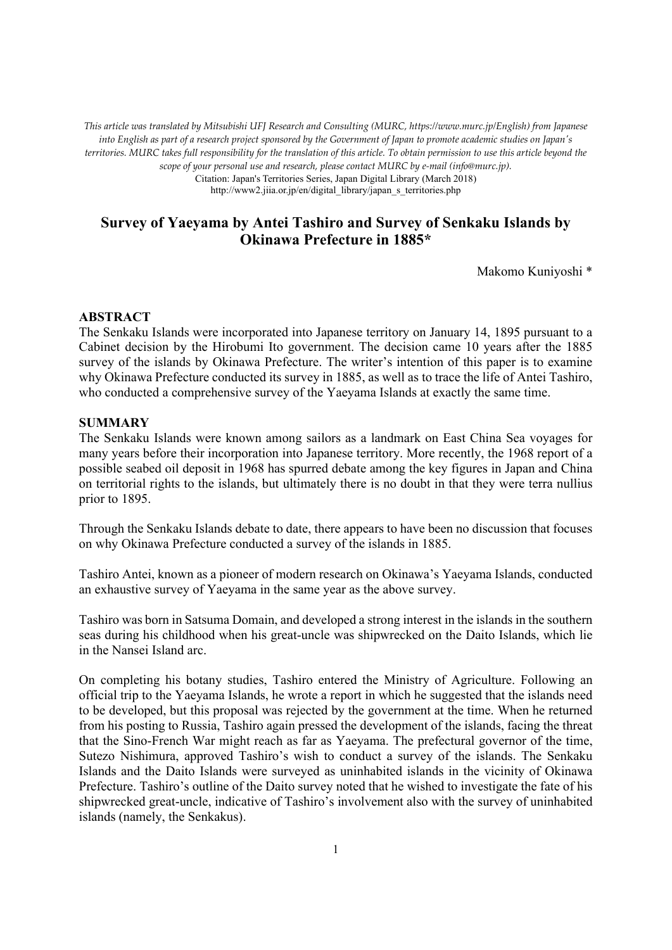*This article was translated by Mitsubishi UFJ Research and Consulting (MURC, https://www.murc.jp/English) from Japanese into English as part of a research project sponsored by the Government of Japan to promote academic studies on Japan's territories. MURC takes full responsibility for the translation of this article. To obtain permission to use this article beyond the scope of your personal use and research, please contact MURC by e-mail (info@murc.jp).*

Citation: Japan's Territories Series, Japan Digital Library (March 2018)

http://www2.jiia.or.jp/en/digital\_library/japan\_s\_territories.php

# **Survey of Yaeyama by Antei Tashiro and Survey of Senkaku Islands by Okinawa Prefecture in 1885\***

Makomo Kuniyoshi \*

#### **ABSTRACT**

The Senkaku Islands were incorporated into Japanese territory on January 14, 1895 pursuant to a Cabinet decision by the Hirobumi Ito government. The decision came 10 years after the 1885 survey of the islands by Okinawa Prefecture. The writer's intention of this paper is to examine why Okinawa Prefecture conducted its survey in 1885, as well as to trace the life of Antei Tashiro, who conducted a comprehensive survey of the Yaeyama Islands at exactly the same time.

# **SUMMARY**

The Senkaku Islands were known among sailors as a landmark on East China Sea voyages for many years before their incorporation into Japanese territory. More recently, the 1968 report of a possible seabed oil deposit in 1968 has spurred debate among the key figures in Japan and China on territorial rights to the islands, but ultimately there is no doubt in that they were terra nullius prior to 1895.

Through the Senkaku Islands debate to date, there appears to have been no discussion that focuses on why Okinawa Prefecture conducted a survey of the islands in 1885.

Tashiro Antei, known as a pioneer of modern research on Okinawa's Yaeyama Islands, conducted an exhaustive survey of Yaeyama in the same year as the above survey.

Tashiro was born in Satsuma Domain, and developed a strong interest in the islands in the southern seas during his childhood when his great-uncle was shipwrecked on the Daito Islands, which lie in the Nansei Island arc.

On completing his botany studies, Tashiro entered the Ministry of Agriculture. Following an official trip to the Yaeyama Islands, he wrote a report in which he suggested that the islands need to be developed, but this proposal was rejected by the government at the time. When he returned from his posting to Russia, Tashiro again pressed the development of the islands, facing the threat that the Sino-French War might reach as far as Yaeyama. The prefectural governor of the time, Sutezo Nishimura, approved Tashiro's wish to conduct a survey of the islands. The Senkaku Islands and the Daito Islands were surveyed as uninhabited islands in the vicinity of Okinawa Prefecture. Tashiro's outline of the Daito survey noted that he wished to investigate the fate of his shipwrecked great-uncle, indicative of Tashiro's involvement also with the survey of uninhabited islands (namely, the Senkakus).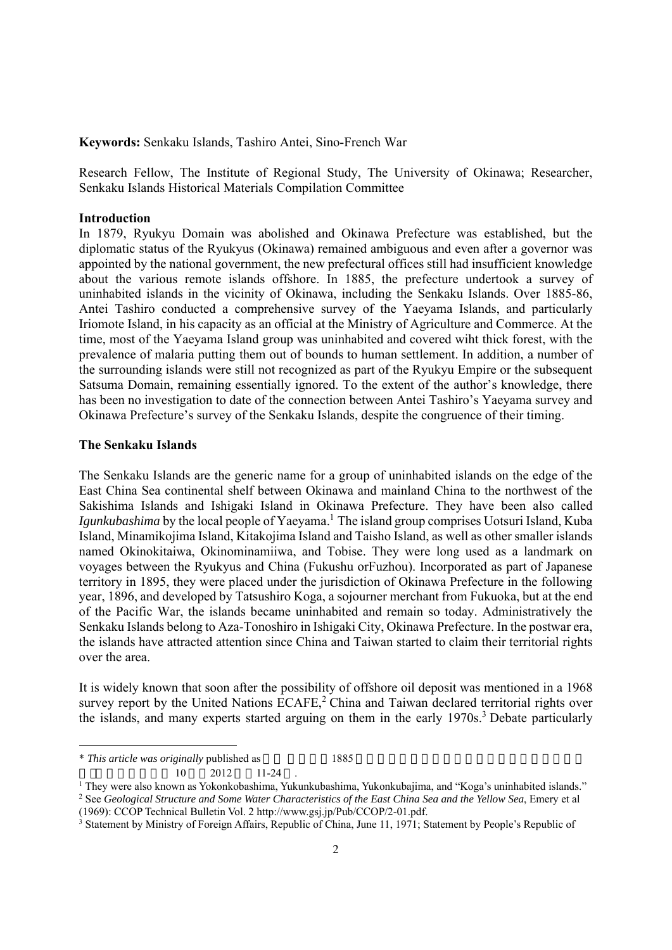**Keywords:** Senkaku Islands, Tashiro Antei, Sino-French War

Research Fellow, The Institute of Regional Study, The University of Okinawa; Researcher, Senkaku Islands Historical Materials Compilation Committee

#### **Introduction**

In 1879, Ryukyu Domain was abolished and Okinawa Prefecture was established, but the diplomatic status of the Ryukyus (Okinawa) remained ambiguous and even after a governor was appointed by the national government, the new prefectural offices still had insufficient knowledge about the various remote islands offshore. In 1885, the prefecture undertook a survey of uninhabited islands in the vicinity of Okinawa, including the Senkaku Islands. Over 1885-86, Antei Tashiro conducted a comprehensive survey of the Yaeyama Islands, and particularly Iriomote Island, in his capacity as an official at the Ministry of Agriculture and Commerce. At the time, most of the Yaeyama Island group was uninhabited and covered wiht thick forest, with the prevalence of malaria putting them out of bounds to human settlement. In addition, a number of the surrounding islands were still not recognized as part of the Ryukyu Empire or the subsequent Satsuma Domain, remaining essentially ignored. To the extent of the author's knowledge, there has been no investigation to date of the connection between Antei Tashiro's Yaeyama survey and Okinawa Prefecture's survey of the Senkaku Islands, despite the congruence of their timing.

#### **The Senkaku Islands**

The Senkaku Islands are the generic name for a group of uninhabited islands on the edge of the East China Sea continental shelf between Okinawa and mainland China to the northwest of the Sakishima Islands and Ishigaki Island in Okinawa Prefecture. They have been also called Igunkubashima by the local people of Yaeyama.<sup>1</sup> The island group comprises Uotsuri Island, Kuba Island, Minamikojima Island, Kitakojima Island and Taisho Island, as well as other smaller islands named Okinokitaiwa, Okinominamiiwa, and Tobise. They were long used as a landmark on voyages between the Ryukyus and China (Fukushu orFuzhou). Incorporated as part of Japanese territory in 1895, they were placed under the jurisdiction of Okinawa Prefecture in the following year, 1896, and developed by Tatsushiro Koga, a sojourner merchant from Fukuoka, but at the end of the Pacific War, the islands became uninhabited and remain so today. Administratively the Senkaku Islands belong to Aza-Tonoshiro in Ishigaki City, Okinawa Prefecture. In the postwar era, the islands have attracted attention since China and Taiwan started to claim their territorial rights over the area.

It is widely known that soon after the possibility of offshore oil deposit was mentioned in a 1968 survey report by the United Nations  $ECAFE$ ,  $2$  China and Taiwan declared territorial rights over the islands, and many experts started arguing on them in the early 1970s.<sup>3</sup> Debate particularly

 $10 \qquad 2012 \qquad 11\text{-}24$  .<br><sup>1</sup> They were also known as Vokonkohashima Vuki <sup>1</sup> They were also known as Yokonkobashima, Yukunkubashima, Yukonkubajima, and "Koga's uninhabited islands." <br><sup>2</sup> See *Geological Structure and Some Water Characteristics of the East China Sea and the Yellow Sea. Emery et* <sup>2</sup> See *Geological Structure and Some Water Characteristics of the East China Sea and the Yellow Sea, Emery et al* 

<sup>\*</sup> This article was originally published as 1885

<sup>(1969):</sup> CCOP Technical Bulletin Vol. 2 http://www.gsj.jp/Pub/CCOP/2-01.pdf. 3

<sup>&</sup>lt;sup>3</sup> Statement by Ministry of Foreign Affairs, Republic of China, June 11, 1971; Statement by People's Republic of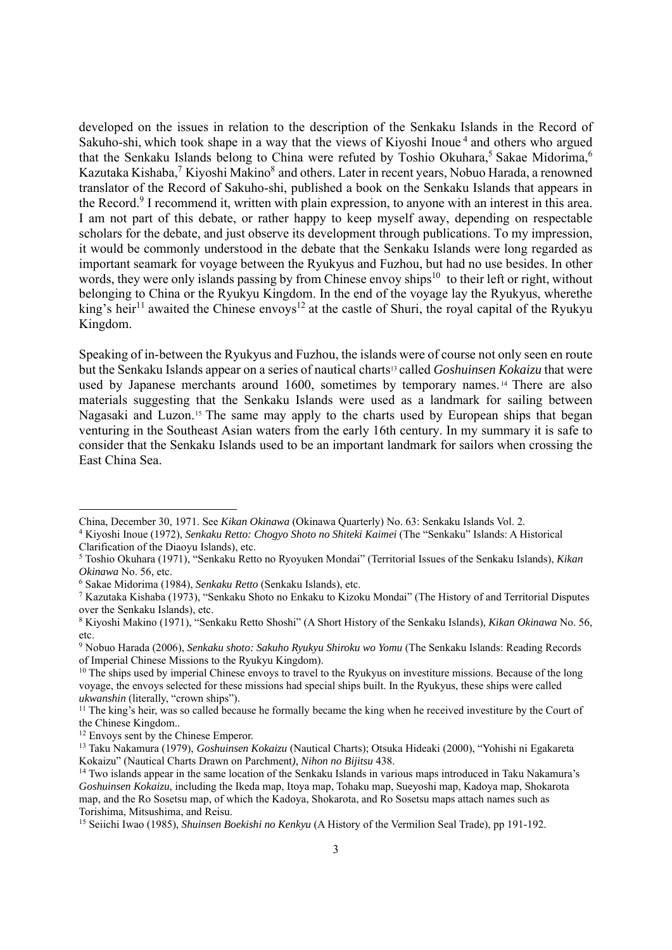developed on the issues in relation to the description of the Senkaku Islands in the Record of Sakuho-shi, which took shape in a way that the views of Kiyoshi Inoue<sup>4</sup> and others who argued that the Senkaku Islands belong to China were refuted by Toshio Okuhara,<sup>5</sup> Sakae Midorima,<sup>6</sup> Kazutaka Kishaba,<sup>7</sup> Kiyoshi Makino<sup>8</sup> and others. Later in recent years, Nobuo Harada, a renowned translator of the Record of Sakuho-shi, published a book on the Senkaku Islands that appears in the Record.<sup>9</sup> I recommend it, written with plain expression, to anyone with an interest in this area. I am not part of this debate, or rather happy to keep myself away, depending on respectable scholars for the debate, and just observe its development through publications. To my impression, it would be commonly understood in the debate that the Senkaku Islands were long regarded as important seamark for voyage between the Ryukyus and Fuzhou, but had no use besides. In other words, they were only islands passing by from Chinese envoy ships<sup>10</sup> to their left or right, without belonging to China or the Ryukyu Kingdom. In the end of the voyage lay the Ryukyus, wherethe king's heir<sup>11</sup> awaited the Chinese envoys<sup>12</sup> at the castle of Shuri, the royal capital of the Ryukyu Kingdom.

Speaking of in-between the Ryukyus and Fuzhou, the islands were of course not only seen en route but the Senkaku Islands appear on a series of nautical charts13 called *Goshuinsen Kokaizu* that were used by Japanese merchants around 1600, sometimes by temporary names.<sup>14</sup> There are also materials suggesting that the Senkaku Islands were used as a landmark for sailing between Nagasaki and Luzon.15 The same may apply to the charts used by European ships that began venturing in the Southeast Asian waters from the early 16th century. In my summary it is safe to consider that the Senkaku Islands used to be an important landmark for sailors when crossing the East China Sea.

China, December 30, 1971. See *Kikan Okinawa* (Okinawa Quarterly) No. 63: Senkaku Islands Vol. 2. 4

Kiyoshi Inoue (1972), *Senkaku Retto: Chogyo Shoto no Shiteki Kaimei* (The "Senkaku" Islands: A Historical Clarification of the Diaoyu Islands), etc.

<sup>5</sup> Toshio Okuhara (1971), "Senkaku Retto no Ryoyuken Mondai" (Territorial Issues of the Senkaku Islands), *Kikan Okinawa* No. 56, etc.

Sakae Midorima (1984), *Senkaku Retto* (Senkaku Islands), etc. 7

<sup>&</sup>lt;sup>7</sup> Kazutaka Kishaba (1973), "Senkaku Shoto no Enkaku to Kizoku Mondai" (The History of and Territorial Disputes over the Senkaku Islands), etc.

<sup>8</sup> Kiyoshi Makino (1971), "Senkaku Retto Shoshi" (A Short History of the Senkaku Islands), *Kikan Okinawa* No. 56, etc.

<sup>9</sup> Nobuo Harada (2006), *Senkaku shoto: Sakuho Ryukyu Shiroku wo Yomu* (The Senkaku Islands: Reading Records of Imperial Chinese Missions to the Ryukyu Kingdom).

<sup>&</sup>lt;sup>10</sup> The ships used by imperial Chinese envoys to travel to the Ryukyus on investiture missions. Because of the long voyage, the envoys selected for these missions had special ships built. In the Ryukyus, these ships were called *ukwanshin* (literally, "crown ships").

<sup>&</sup>lt;sup>11</sup> The king's heir, was so called because he formally became the king when he received investiture by the Court of the Chinese Kingdom..

<sup>&</sup>lt;sup>12</sup> Envoys sent by the Chinese Emperor.

<sup>13</sup> Taku Nakamura (1979), *Goshuinsen Kokaizu* (Nautical Charts); Otsuka Hideaki (2000), "Yohishi ni Egakareta Kokaizu" (Nautical Charts Drawn on Parchment), *Nihon no Bijitsu* 438.<br><sup>14</sup> Two islands appear in the same location of the Senkaku Islands in various maps introduced in Taku Nakamura's

*Goshuinsen Kokaizu*, including the Ikeda map, Itoya map, Tohaku map, Sueyoshi map, Kadoya map, Shokarota map, and the Ro Sosetsu map, of which the Kadoya, Shokarota, and Ro Sosetsu maps attach names such as Torishima, Mitsushima, and Reisu.

<sup>15</sup> Seiichi Iwao (1985), *Shuinsen Boekishi no Kenkyu* (A History of the Vermilion Seal Trade), pp 191-192.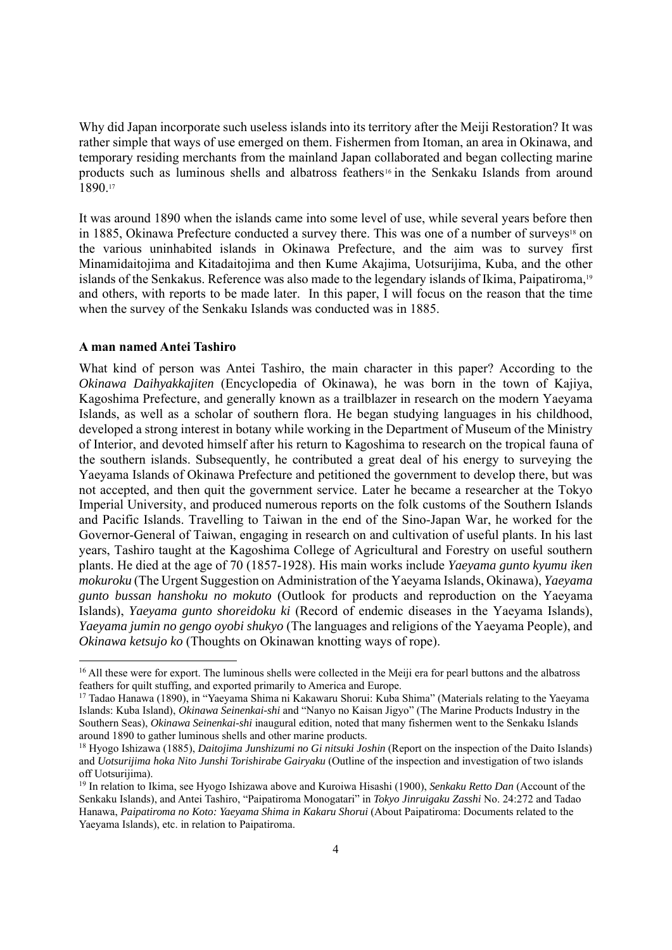Why did Japan incorporate such useless islands into its territory after the Meiji Restoration? It was rather simple that ways of use emerged on them. Fishermen from Itoman, an area in Okinawa, and temporary residing merchants from the mainland Japan collaborated and began collecting marine products such as luminous shells and albatross feathers16 in the Senkaku Islands from around 1890.17

It was around 1890 when the islands came into some level of use, while several years before then in 1885, Okinawa Prefecture conducted a survey there. This was one of a number of surveys<sup>18</sup> on the various uninhabited islands in Okinawa Prefecture, and the aim was to survey first Minamidaitojima and Kitadaitojima and then Kume Akajima, Uotsurijima, Kuba, and the other islands of the Senkakus. Reference was also made to the legendary islands of Ikima, Paipatiroma,19 and others, with reports to be made later. In this paper, I will focus on the reason that the time when the survey of the Senkaku Islands was conducted was in 1885.

#### **A man named Antei Tashiro**

What kind of person was Antei Tashiro, the main character in this paper? According to the *Okinawa Daihyakkajiten* (Encyclopedia of Okinawa), he was born in the town of Kajiya, Kagoshima Prefecture, and generally known as a trailblazer in research on the modern Yaeyama Islands, as well as a scholar of southern flora. He began studying languages in his childhood, developed a strong interest in botany while working in the Department of Museum of the Ministry of Interior, and devoted himself after his return to Kagoshima to research on the tropical fauna of the southern islands. Subsequently, he contributed a great deal of his energy to surveying the Yaeyama Islands of Okinawa Prefecture and petitioned the government to develop there, but was not accepted, and then quit the government service. Later he became a researcher at the Tokyo Imperial University, and produced numerous reports on the folk customs of the Southern Islands and Pacific Islands. Travelling to Taiwan in the end of the Sino-Japan War, he worked for the Governor-General of Taiwan, engaging in research on and cultivation of useful plants. In his last years, Tashiro taught at the Kagoshima College of Agricultural and Forestry on useful southern plants. He died at the age of 70 (1857-1928). His main works include *Yaeyama gunto kyumu iken mokuroku* (The Urgent Suggestion on Administration of the Yaeyama Islands, Okinawa), *Yaeyama gunto bussan hanshoku no mokuto* (Outlook for products and reproduction on the Yaeyama Islands), *Yaeyama gunto shoreidoku ki* (Record of endemic diseases in the Yaeyama Islands), *Yaeyama jumin no gengo oyobi shukyo* (The languages and religions of the Yaeyama People), and *Okinawa ketsujo ko* (Thoughts on Okinawan knotting ways of rope).

<sup>&</sup>lt;sup>16</sup> All these were for export. The luminous shells were collected in the Meiji era for pearl buttons and the albatross feathers for quilt stuffing, and exported primarily to America and Europe. 17 Tadao Hanawa (1890), in "Yaeyama Shima ni Kakawaru Shorui: Kuba Shima" (Materials relating to the Yaeyama

Islands: Kuba Island), *Okinawa Seinenkai-shi* and "Nanyo no Kaisan Jigyo" (The Marine Products Industry in the Southern Seas), *Okinawa Seinenkai-shi* inaugural edition, noted that many fishermen went to the Senkaku Islands around 1890 to gather luminous shells and other marine products.<br><sup>18</sup> Hyogo Ishizawa (1885), *Daitojima Junshizumi no Gi nitsuki Joshin* (Report on the inspection of the Daito Islands)

and *Uotsurijima hoka Nito Junshi Torishirabe Gairyaku* (Outline of the inspection and investigation of two islands off Uotsurijima).

<sup>19</sup> In relation to Ikima, see Hyogo Ishizawa above and Kuroiwa Hisashi (1900), *Senkaku Retto Dan* (Account of the Senkaku Islands), and Antei Tashiro, "Paipatiroma Monogatari" in *Tokyo Jinruigaku Zasshi* No. 24:272 and Tadao Hanawa, *Paipatiroma no Koto: Yaeyama Shima in Kakaru Shorui* (About Paipatiroma: Documents related to the Yaeyama Islands), etc. in relation to Paipatiroma.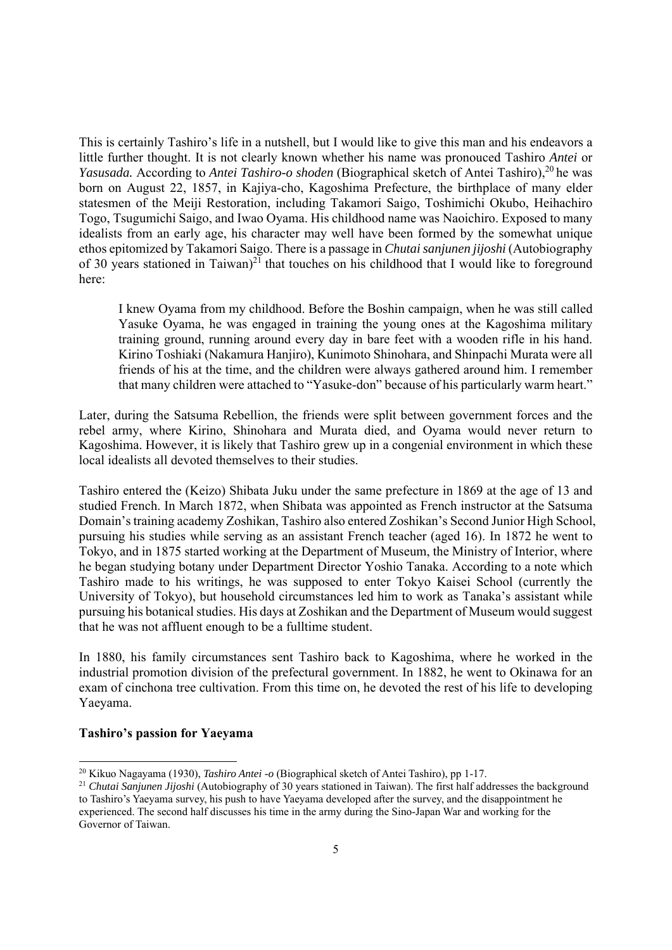This is certainly Tashiro's life in a nutshell, but I would like to give this man and his endeavors a little further thought. It is not clearly known whether his name was pronouced Tashiro *Antei* or *Yasusada.* According to *Antei Tashiro-o shoden* (Biographical sketch of Antei Tashiro),<sup>20</sup> he was born on August 22, 1857, in Kajiya-cho, Kagoshima Prefecture, the birthplace of many elder statesmen of the Meiji Restoration, including Takamori Saigo, Toshimichi Okubo, Heihachiro Togo, Tsugumichi Saigo, and Iwao Oyama. His childhood name was Naoichiro. Exposed to many idealists from an early age, his character may well have been formed by the somewhat unique ethos epitomized by Takamori Saigo. There is a passage in *Chutai sanjunen jijoshi* (Autobiography of 30 years stationed in Taiwan)<sup>21</sup> that touches on his childhood that I would like to foreground here:

I knew Oyama from my childhood. Before the Boshin campaign, when he was still called Yasuke Oyama, he was engaged in training the young ones at the Kagoshima military training ground, running around every day in bare feet with a wooden rifle in his hand. Kirino Toshiaki (Nakamura Hanjiro), Kunimoto Shinohara, and Shinpachi Murata were all friends of his at the time, and the children were always gathered around him. I remember that many children were attached to "Yasuke-don" because of his particularly warm heart."

Later, during the Satsuma Rebellion, the friends were split between government forces and the rebel army, where Kirino, Shinohara and Murata died, and Oyama would never return to Kagoshima. However, it is likely that Tashiro grew up in a congenial environment in which these local idealists all devoted themselves to their studies.

Tashiro entered the (Keizo) Shibata Juku under the same prefecture in 1869 at the age of 13 and studied French. In March 1872, when Shibata was appointed as French instructor at the Satsuma Domain's training academy Zoshikan, Tashiro also entered Zoshikan's Second Junior High School, pursuing his studies while serving as an assistant French teacher (aged 16). In 1872 he went to Tokyo, and in 1875 started working at the Department of Museum, the Ministry of Interior, where he began studying botany under Department Director Yoshio Tanaka. According to a note which Tashiro made to his writings, he was supposed to enter Tokyo Kaisei School (currently the University of Tokyo), but household circumstances led him to work as Tanaka's assistant while pursuing his botanical studies. His days at Zoshikan and the Department of Museum would suggest that he was not affluent enough to be a fulltime student.

In 1880, his family circumstances sent Tashiro back to Kagoshima, where he worked in the industrial promotion division of the prefectural government. In 1882, he went to Okinawa for an exam of cinchona tree cultivation. From this time on, he devoted the rest of his life to developing Yaeyama.

# **Tashiro's passion for Yaeyama**

<sup>20</sup> Kikuo Nagayama (1930), *Tashiro Antei -o* (Biographical sketch of Antei Tashiro), pp 1-17. 21 *Chutai Sanjunen Jijoshi* (Autobiography of 30 years stationed in Taiwan). The first half addresses the background to Tashiro's Yaeyama survey, his push to have Yaeyama developed after the survey, and the disappointment he experienced. The second half discusses his time in the army during the Sino-Japan War and working for the Governor of Taiwan.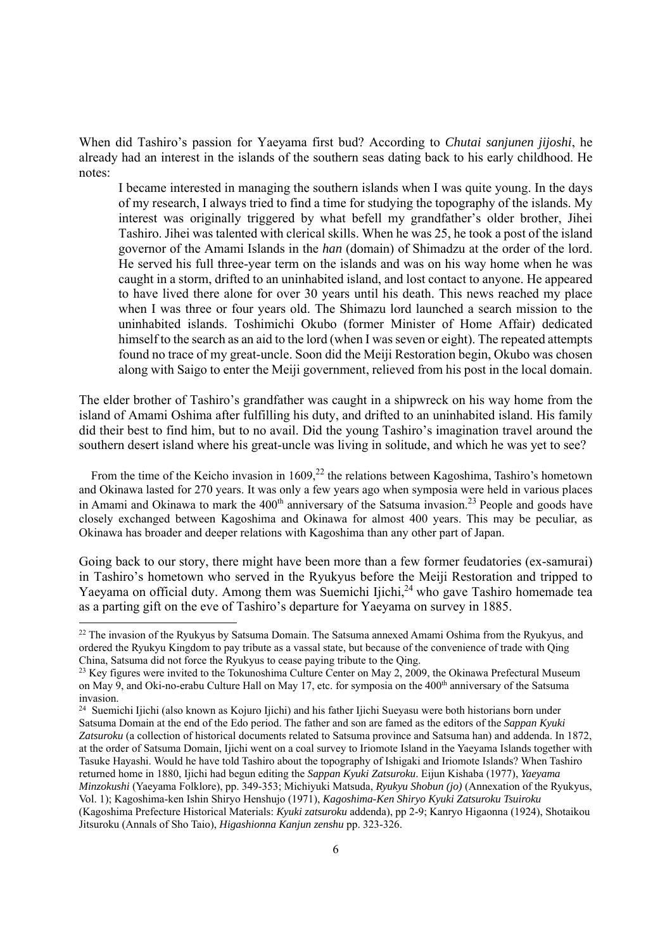When did Tashiro's passion for Yaeyama first bud? According to *Chutai sanjunen jijoshi*, he already had an interest in the islands of the southern seas dating back to his early childhood. He notes:

I became interested in managing the southern islands when I was quite young. In the days of my research, I always tried to find a time for studying the topography of the islands. My interest was originally triggered by what befell my grandfather's older brother, Jihei Tashiro. Jihei was talented with clerical skills. When he was 25, he took a post of the island governor of the Amami Islands in the *han* (domain) of Shimadzu at the order of the lord. He served his full three-year term on the islands and was on his way home when he was caught in a storm, drifted to an uninhabited island, and lost contact to anyone. He appeared to have lived there alone for over 30 years until his death. This news reached my place when I was three or four years old. The Shimazu lord launched a search mission to the uninhabited islands. Toshimichi Okubo (former Minister of Home Affair) dedicated himself to the search as an aid to the lord (when I was seven or eight). The repeated attempts found no trace of my great-uncle. Soon did the Meiji Restoration begin, Okubo was chosen along with Saigo to enter the Meiji government, relieved from his post in the local domain.

The elder brother of Tashiro's grandfather was caught in a shipwreck on his way home from the island of Amami Oshima after fulfilling his duty, and drifted to an uninhabited island. His family did their best to find him, but to no avail. Did the young Tashiro's imagination travel around the southern desert island where his great-uncle was living in solitude, and which he was yet to see?

From the time of the Keicho invasion in  $1609<sup>22</sup>$  the relations between Kagoshima, Tashiro's hometown and Okinawa lasted for 270 years. It was only a few years ago when symposia were held in various places in Amami and Okinawa to mark the  $400<sup>th</sup>$  anniversary of the Satsuma invasion.<sup>23</sup> People and goods have closely exchanged between Kagoshima and Okinawa for almost 400 years. This may be peculiar, as Okinawa has broader and deeper relations with Kagoshima than any other part of Japan.

Going back to our story, there might have been more than a few former feudatories (ex-samurai) in Tashiro's hometown who served in the Ryukyus before the Meiji Restoration and tripped to Yaeyama on official duty. Among them was Suemichi Ijichi,<sup>24</sup> who gave Tashiro homemade tea as a parting gift on the eve of Tashiro's departure for Yaeyama on survey in 1885.

<sup>&</sup>lt;sup>22</sup> The invasion of the Ryukyus by Satsuma Domain. The Satsuma annexed Amami Oshima from the Ryukyus, and ordered the Ryukyu Kingdom to pay tribute as a vassal state, but because of the convenience of trade with Qing China, Satsuma did not force the Ryukyus to cease paying tribute to the Qing. 23 Key figures were invited to the Tokunoshima Culture Center on May 2, 2009, the Okinawa Prefectural Museum

on May 9, and Oki-no-erabu Culture Hall on May 17, etc. for symposia on the 400<sup>th</sup> anniversary of the Satsuma invasion.

<sup>&</sup>lt;sup>24</sup> Suemichi Ijichi (also known as Kojuro Ijichi) and his father Ijichi Sueyasu were both historians born under Satsuma Domain at the end of the Edo period. The father and son are famed as the editors of the *Sappan Kyuki Zatsuroku* (a collection of historical documents related to Satsuma province and Satsuma han) and addenda. In 1872, at the order of Satsuma Domain, Ijichi went on a coal survey to Iriomote Island in the Yaeyama Islands together with Tasuke Hayashi. Would he have told Tashiro about the topography of Ishigaki and Iriomote Islands? When Tashiro returned home in 1880, Ijichi had begun editing the *Sappan Kyuki Zatsuroku*. Eijun Kishaba (1977), *Yaeyama Minzokushi* (Yaeyama Folklore), pp. 349-353; Michiyuki Matsuda, *Ryukyu Shobun (jo)* (Annexation of the Ryukyus, Vol. 1); Kagoshima-ken Ishin Shiryo Henshujo (1971), *Kagoshima-Ken Shiryo Kyuki Zatsuroku Tsuiroku*  (Kagoshima Prefecture Historical Materials: *Kyuki zatsuroku* addenda), pp 2-9; Kanryo Higaonna (1924), Shotaikou Jitsuroku (Annals of Sho Taio), *Higashionna Kanjun zenshu* pp. 323-326.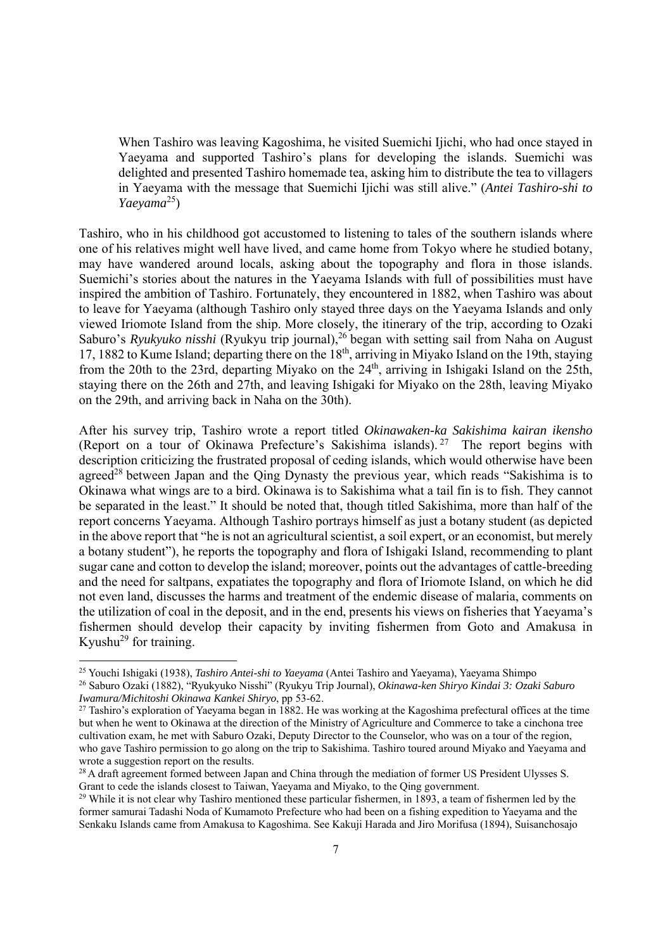When Tashiro was leaving Kagoshima, he visited Suemichi Ijichi, who had once stayed in Yaeyama and supported Tashiro's plans for developing the islands. Suemichi was delighted and presented Tashiro homemade tea, asking him to distribute the tea to villagers in Yaeyama with the message that Suemichi Ijichi was still alive." (*Antei Tashiro-shi to Yaeyama*25)

Tashiro, who in his childhood got accustomed to listening to tales of the southern islands where one of his relatives might well have lived, and came home from Tokyo where he studied botany, may have wandered around locals, asking about the topography and flora in those islands. Suemichi's stories about the natures in the Yaeyama Islands with full of possibilities must have inspired the ambition of Tashiro. Fortunately, they encountered in 1882, when Tashiro was about to leave for Yaeyama (although Tashiro only stayed three days on the Yaeyama Islands and only viewed Iriomote Island from the ship. More closely, the itinerary of the trip, according to Ozaki Saburo's *Ryukyuko nisshi* (Ryukyu trip journal),<sup>26</sup> began with setting sail from Naha on August 17, 1882 to Kume Island; departing there on the 18th, arriving in Miyako Island on the 19th, staying from the 20th to the 23rd, departing Miyako on the 24th, arriving in Ishigaki Island on the 25th, staying there on the 26th and 27th, and leaving Ishigaki for Miyako on the 28th, leaving Miyako on the 29th, and arriving back in Naha on the 30th).

After his survey trip, Tashiro wrote a report titled *Okinawaken-ka Sakishima kairan ikensho* (Report on a tour of Okinawa Prefecture's Sakishima islands). 27 The report begins with description criticizing the frustrated proposal of ceding islands, which would otherwise have been agreed<sup>28</sup> between Japan and the Oing Dynasty the previous year, which reads "Sakishima is to Okinawa what wings are to a bird. Okinawa is to Sakishima what a tail fin is to fish. They cannot be separated in the least." It should be noted that, though titled Sakishima, more than half of the report concerns Yaeyama. Although Tashiro portrays himself as just a botany student (as depicted in the above report that "he is not an agricultural scientist, a soil expert, or an economist, but merely a botany student"), he reports the topography and flora of Ishigaki Island, recommending to plant sugar cane and cotton to develop the island; moreover, points out the advantages of cattle-breeding and the need for saltpans, expatiates the topography and flora of Iriomote Island, on which he did not even land, discusses the harms and treatment of the endemic disease of malaria, comments on the utilization of coal in the deposit, and in the end, presents his views on fisheries that Yaeyama's fishermen should develop their capacity by inviting fishermen from Goto and Amakusa in Kyushu<sup>29</sup> for training.

<sup>&</sup>lt;sup>25</sup> Youchi Ishigaki (1938), *Tashiro Antei-shi to Yaeyama* (Antei Tashiro and Yaeyama), Yaeyama Shimpo <sup>26</sup> Saburo Ozaki (1882), "Ryukyuko Nisshi" (Ryukyu Trip Journal), *Okinawa-ken Shiryo Kindai 3: Ozaki Saburo Iwamura/* 

<sup>&</sup>lt;sup>27</sup> Tashiro's exploration of Yaeyama began in 1882. He was working at the Kagoshima prefectural offices at the time but when he went to Okinawa at the direction of the Ministry of Agriculture and Commerce to take a cinchona tree cultivation exam, he met with Saburo Ozaki, Deputy Director to the Counselor, who was on a tour of the region, who gave Tashiro permission to go along on the trip to Sakishima. Tashiro toured around Miyako and Yaeyama and wrote a suggestion report on the results.

<sup>&</sup>lt;sup>28</sup> A draft agreement formed between Japan and China through the mediation of former US President Ulysses S. Grant to cede the islands closest to Taiwan, Yaeyama and Miyako, to the Qing government.

<sup>&</sup>lt;sup>29</sup> While it is not clear why Tashiro mentioned these particular fishermen, in 1893, a team of fishermen led by the former samurai Tadashi Noda of Kumamoto Prefecture who had been on a fishing expedition to Yaeyama and the Senkaku Islands came from Amakusa to Kagoshima. See Kakuji Harada and Jiro Morifusa (1894), Suisanchosajo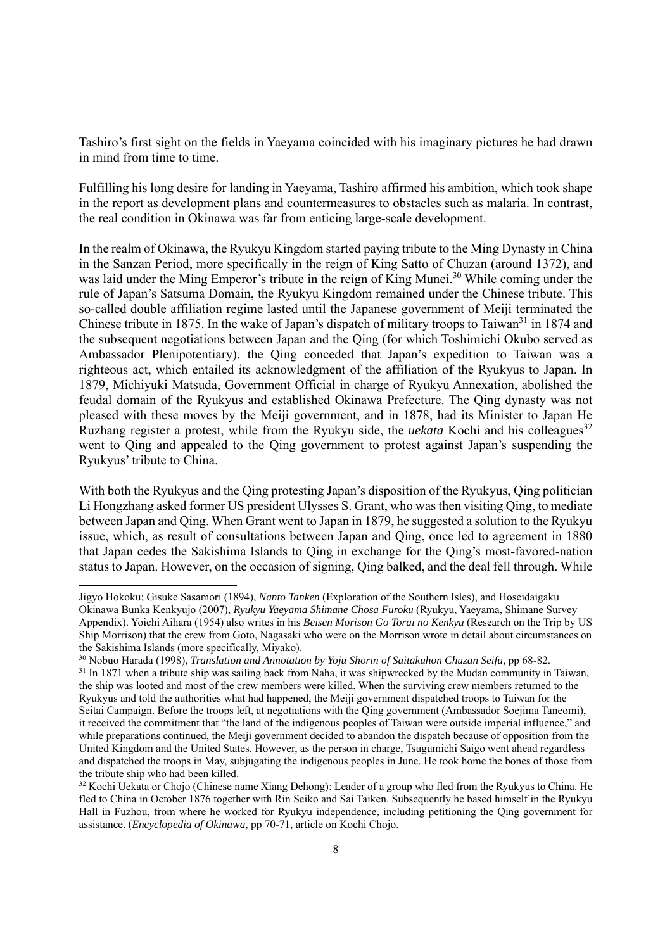Tashiro's first sight on the fields in Yaeyama coincided with his imaginary pictures he had drawn in mind from time to time.

Fulfilling his long desire for landing in Yaeyama, Tashiro affirmed his ambition, which took shape in the report as development plans and countermeasures to obstacles such as malaria. In contrast, the real condition in Okinawa was far from enticing large-scale development.

In the realm of Okinawa, the Ryukyu Kingdom started paying tribute to the Ming Dynasty in China in the Sanzan Period, more specifically in the reign of King Satto of Chuzan (around 1372), and was laid under the Ming Emperor's tribute in the reign of King Munei.<sup>30</sup> While coming under the rule of Japan's Satsuma Domain, the Ryukyu Kingdom remained under the Chinese tribute. This so-called double affiliation regime lasted until the Japanese government of Meiji terminated the Chinese tribute in 1875. In the wake of Japan's dispatch of military troops to Taiwan<sup>31</sup> in 1874 and the subsequent negotiations between Japan and the Qing (for which Toshimichi Okubo served as Ambassador Plenipotentiary), the Qing conceded that Japan's expedition to Taiwan was a righteous act, which entailed its acknowledgment of the affiliation of the Ryukyus to Japan. In 1879, Michiyuki Matsuda, Government Official in charge of Ryukyu Annexation, abolished the feudal domain of the Ryukyus and established Okinawa Prefecture. The Qing dynasty was not pleased with these moves by the Meiji government, and in 1878, had its Minister to Japan He Ruzhang register a protest, while from the Ryukyu side, the *uekata* Kochi and his colleagues<sup>32</sup> went to Qing and appealed to the Qing government to protest against Japan's suspending the Ryukyus' tribute to China.

With both the Ryukyus and the Qing protesting Japan's disposition of the Ryukyus, Qing politician Li Hongzhang asked former US president Ulysses S. Grant, who was then visiting Qing, to mediate between Japan and Qing. When Grant went to Japan in 1879, he suggested a solution to the Ryukyu issue, which, as result of consultations between Japan and Qing, once led to agreement in 1880 that Japan cedes the Sakishima Islands to Qing in exchange for the Qing's most-favored-nation status to Japan. However, on the occasion of signing, Qing balked, and the deal fell through. While

Jigyo Hokoku; Gisuke Sasamori (1894), *Nanto Tanken* (Exploration of the Southern Isles), and Hoseidaigaku Okinawa Bunka Kenkyujo (2007), *Ryukyu Yaeyama Shimane Chosa Furoku* (Ryukyu, Yaeyama, Shimane Survey Appendix). Yoichi Aihara (1954) also writes in his *Beisen Morison Go Torai no Kenkyu* (Research on the Trip by US Ship Morrison) that the crew from Goto, Nagasaki who were on the Morrison wrote in detail about circumstances on the Sakishima Islands (more specifically, Miyako).<br><sup>30</sup> Nobuo Harada (1998), *Translation and Annotation by Yoju Shorin of Saitakuhon Chuzan Seifu*, pp 68-82.

<sup>&</sup>lt;sup>31</sup> In 1871 when a tribute ship was sailing back from Naha, it was shipwrecked by the Mudan community in Taiwan, the ship was looted and most of the crew members were killed. When the surviving crew members returned to the Ryukyus and told the authorities what had happened, the Meiji government dispatched troops to Taiwan for the Seitai Campaign. Before the troops left, at negotiations with the Qing government (Ambassador Soejima Taneomi), it received the commitment that "the land of the indigenous peoples of Taiwan were outside imperial influence," and while preparations continued, the Meiji government decided to abandon the dispatch because of opposition from the United Kingdom and the United States. However, as the person in charge, Tsugumichi Saigo went ahead regardless and dispatched the troops in May, subjugating the indigenous peoples in June. He took home the bones of those from the tribute ship who had been killed.

<sup>&</sup>lt;sup>32</sup> Kochi Uekata or Chojo (Chinese name Xiang Dehong): Leader of a group who fled from the Ryukyus to China. He fled to China in October 1876 together with Rin Seiko and Sai Taiken. Subsequently he based himself in the Ryukyu Hall in Fuzhou, from where he worked for Ryukyu independence, including petitioning the Qing government for assistance. (*Encyclopedia of Okinawa*, pp 70-71, article on Kochi Chojo.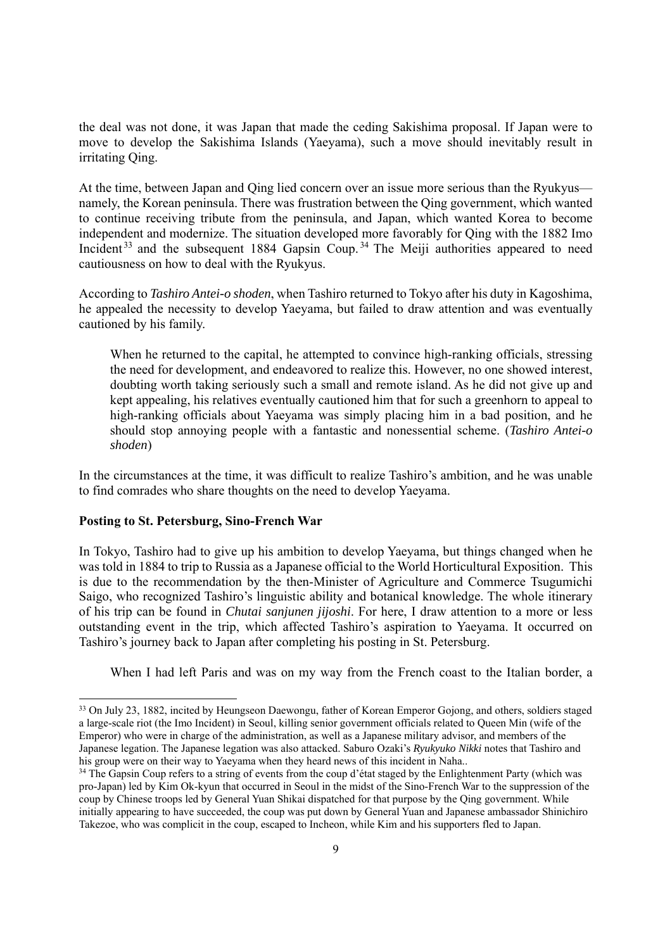the deal was not done, it was Japan that made the ceding Sakishima proposal. If Japan were to move to develop the Sakishima Islands (Yaeyama), such a move should inevitably result in irritating Qing.

At the time, between Japan and Qing lied concern over an issue more serious than the Ryukyus namely, the Korean peninsula. There was frustration between the Qing government, which wanted to continue receiving tribute from the peninsula, and Japan, which wanted Korea to become independent and modernize. The situation developed more favorably for Qing with the 1882 Imo Incident  $33$  and the subsequent 1884 Gapsin Coup.  $34$  The Meiji authorities appeared to need cautiousness on how to deal with the Ryukyus.

According to *Tashiro Antei-o shoden*, when Tashiro returned to Tokyo after his duty in Kagoshima, he appealed the necessity to develop Yaeyama, but failed to draw attention and was eventually cautioned by his family.

When he returned to the capital, he attempted to convince high-ranking officials, stressing the need for development, and endeavored to realize this. However, no one showed interest, doubting worth taking seriously such a small and remote island. As he did not give up and kept appealing, his relatives eventually cautioned him that for such a greenhorn to appeal to high-ranking officials about Yaeyama was simply placing him in a bad position, and he should stop annoying people with a fantastic and nonessential scheme. (*Tashiro Antei-o shoden*)

In the circumstances at the time, it was difficult to realize Tashiro's ambition, and he was unable to find comrades who share thoughts on the need to develop Yaeyama.

# **Posting to St. Petersburg, Sino-French War**

In Tokyo, Tashiro had to give up his ambition to develop Yaeyama, but things changed when he was told in 1884 to trip to Russia as a Japanese official to the World Horticultural Exposition. This is due to the recommendation by the then-Minister of Agriculture and Commerce Tsugumichi Saigo, who recognized Tashiro's linguistic ability and botanical knowledge. The whole itinerary of his trip can be found in *Chutai sanjunen jijoshi*. For here, I draw attention to a more or less outstanding event in the trip, which affected Tashiro's aspiration to Yaeyama. It occurred on Tashiro's journey back to Japan after completing his posting in St. Petersburg.

When I had left Paris and was on my way from the French coast to the Italian border, a

<sup>33</sup> On July 23, 1882, incited by Heungseon Daewongu, father of Korean Emperor Gojong, and others, soldiers staged a large-scale riot (the Imo Incident) in Seoul, killing senior government officials related to Queen Min (wife of the Emperor) who were in charge of the administration, as well as a Japanese military advisor, and members of the Japanese legation. The Japanese legation was also attacked. Saburo Ozaki's *Ryukyuko Nikki* notes that Tashiro and his group were on their way to Yaeyama when they heard news of this incident in Naha.. <sup>34</sup> The Gapsin Coup refers to a string of events from the coup d'état staged by the Enlightenment Party (which was

pro-Japan) led by Kim Ok-kyun that occurred in Seoul in the midst of the Sino-French War to the suppression of the coup by Chinese troops led by General Yuan Shikai dispatched for that purpose by the Qing government. While initially appearing to have succeeded, the coup was put down by General Yuan and Japanese ambassador Shinichiro Takezoe, who was complicit in the coup, escaped to Incheon, while Kim and his supporters fled to Japan.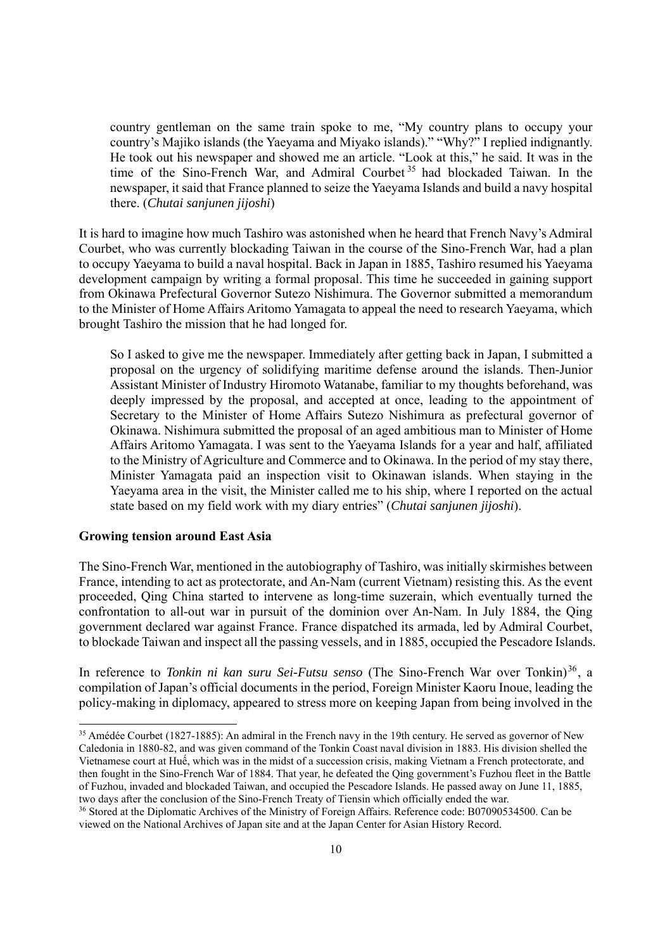country gentleman on the same train spoke to me, "My country plans to occupy your country's Majiko islands (the Yaeyama and Miyako islands)." "Why?" I replied indignantly. He took out his newspaper and showed me an article. "Look at this," he said. It was in the time of the Sino-French War, and Admiral Courbet 35 had blockaded Taiwan. In the newspaper, it said that France planned to seize the Yaeyama Islands and build a navy hospital there. (*Chutai sanjunen jijoshi*)

It is hard to imagine how much Tashiro was astonished when he heard that French Navy's Admiral Courbet, who was currently blockading Taiwan in the course of the Sino-French War, had a plan to occupy Yaeyama to build a naval hospital. Back in Japan in 1885, Tashiro resumed his Yaeyama development campaign by writing a formal proposal. This time he succeeded in gaining support from Okinawa Prefectural Governor Sutezo Nishimura. The Governor submitted a memorandum to the Minister of Home Affairs Aritomo Yamagata to appeal the need to research Yaeyama, which brought Tashiro the mission that he had longed for.

So I asked to give me the newspaper. Immediately after getting back in Japan, I submitted a proposal on the urgency of solidifying maritime defense around the islands. Then-Junior Assistant Minister of Industry Hiromoto Watanabe, familiar to my thoughts beforehand, was deeply impressed by the proposal, and accepted at once, leading to the appointment of Secretary to the Minister of Home Affairs Sutezo Nishimura as prefectural governor of Okinawa. Nishimura submitted the proposal of an aged ambitious man to Minister of Home Affairs Aritomo Yamagata. I was sent to the Yaeyama Islands for a year and half, affiliated to the Ministry of Agriculture and Commerce and to Okinawa. In the period of my stay there, Minister Yamagata paid an inspection visit to Okinawan islands. When staying in the Yaeyama area in the visit, the Minister called me to his ship, where I reported on the actual state based on my field work with my diary entries" (*Chutai sanjunen jijoshi*).

#### **Growing tension around East Asia**

The Sino-French War, mentioned in the autobiography of Tashiro, was initially skirmishes between France, intending to act as protectorate, and An-Nam (current Vietnam) resisting this. As the event proceeded, Qing China started to intervene as long-time suzerain, which eventually turned the confrontation to all-out war in pursuit of the dominion over An-Nam. In July 1884, the Qing government declared war against France. France dispatched its armada, led by Admiral Courbet, to blockade Taiwan and inspect all the passing vessels, and in 1885, occupied the Pescadore Islands.

In reference to *Tonkin ni kan suru Sei-Futsu senso* (The Sino-French War over Tonkin)<sup>36</sup>, a compilation of Japan's official documents in the period, Foreign Minister Kaoru Inoue, leading the policy-making in diplomacy, appeared to stress more on keeping Japan from being involved in the

<sup>&</sup>lt;sup>35</sup> Amédée Courbet (1827-1885): An admiral in the French navy in the 19th century. He served as governor of New Caledonia in 1880-82, and was given command of the Tonkin Coast naval division in 1883. His division shelled the Vietnamese court at Huế, which was in the midst of a succession crisis, making Vietnam a French protectorate, and then fought in the Sino-French War of 1884. That year, he defeated the Qing government's Fuzhou fleet in the Battle of Fuzhou, invaded and blockaded Taiwan, and occupied the Pescadore Islands. He passed away on June 11, 1885, two days after the conclusion of the Sino-French Treaty of Tiensin which officially ended the war.<br><sup>36</sup> Stored at the Diplomatic Archives of the Ministry of Foreign Affairs. Reference code: B07090534500. Can be

viewed on the National Archives of Japan site and at the Japan Center for Asian History Record.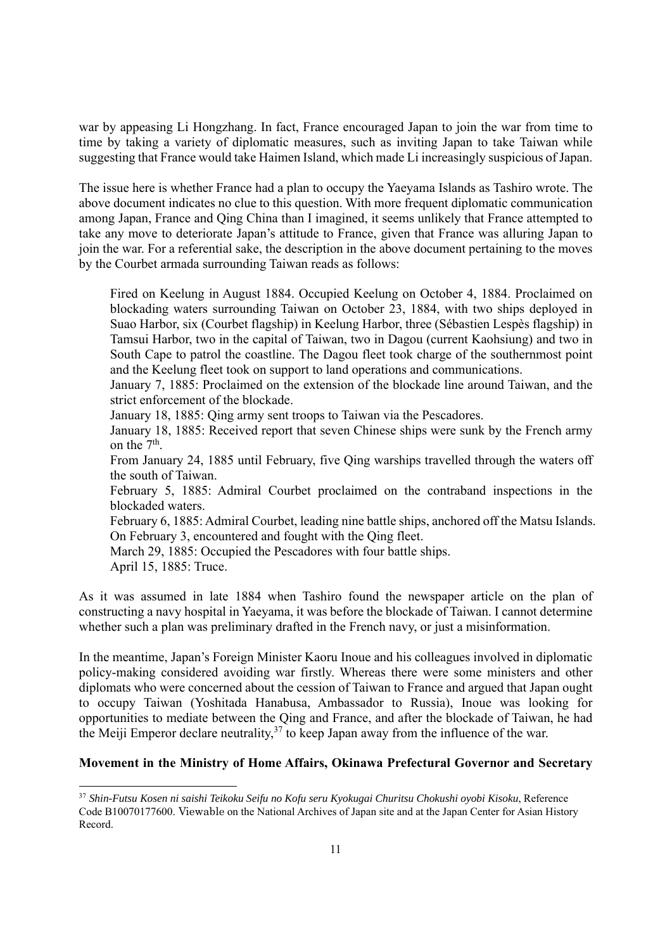war by appeasing Li Hongzhang. In fact, France encouraged Japan to join the war from time to time by taking a variety of diplomatic measures, such as inviting Japan to take Taiwan while suggesting that France would take Haimen Island, which made Li increasingly suspicious of Japan.

The issue here is whether France had a plan to occupy the Yaeyama Islands as Tashiro wrote. The above document indicates no clue to this question. With more frequent diplomatic communication among Japan, France and Qing China than I imagined, it seems unlikely that France attempted to take any move to deteriorate Japan's attitude to France, given that France was alluring Japan to join the war. For a referential sake, the description in the above document pertaining to the moves by the Courbet armada surrounding Taiwan reads as follows:

Fired on Keelung in August 1884. Occupied Keelung on October 4, 1884. Proclaimed on blockading waters surrounding Taiwan on October 23, 1884, with two ships deployed in Suao Harbor, six (Courbet flagship) in Keelung Harbor, three (Sébastien Lespès flagship) in Tamsui Harbor, two in the capital of Taiwan, two in Dagou (current Kaohsiung) and two in South Cape to patrol the coastline. The Dagou fleet took charge of the southernmost point and the Keelung fleet took on support to land operations and communications.

January 7, 1885: Proclaimed on the extension of the blockade line around Taiwan, and the strict enforcement of the blockade.

January 18, 1885: Qing army sent troops to Taiwan via the Pescadores.

January 18, 1885: Received report that seven Chinese ships were sunk by the French army on the  $7<sup>th</sup>$ .

From January 24, 1885 until February, five Qing warships travelled through the waters off the south of Taiwan.

February 5, 1885: Admiral Courbet proclaimed on the contraband inspections in the blockaded waters.

February 6, 1885: Admiral Courbet, leading nine battle ships, anchored off the Matsu Islands. On February 3, encountered and fought with the Qing fleet.

March 29, 1885: Occupied the Pescadores with four battle ships.

April 15, 1885: Truce.

As it was assumed in late 1884 when Tashiro found the newspaper article on the plan of constructing a navy hospital in Yaeyama, it was before the blockade of Taiwan. I cannot determine whether such a plan was preliminary drafted in the French navy, or just a misinformation.

In the meantime, Japan's Foreign Minister Kaoru Inoue and his colleagues involved in diplomatic policy-making considered avoiding war firstly. Whereas there were some ministers and other diplomats who were concerned about the cession of Taiwan to France and argued that Japan ought to occupy Taiwan (Yoshitada Hanabusa, Ambassador to Russia), Inoue was looking for opportunities to mediate between the Qing and France, and after the blockade of Taiwan, he had the Meiji Emperor declare neutrality,  $37$  to keep Japan away from the influence of the war.

# **Movement in the Ministry of Home Affairs, Okinawa Prefectural Governor and Secretary**

<sup>37</sup> *Shin-Futsu Kosen ni saishi Teikoku Seifu no Kofu seru Kyokugai Churitsu Chokushi oyobi Kisoku*, Reference Code B10070177600. Viewable on the National Archives of Japan site and at the Japan Center for Asian History Record.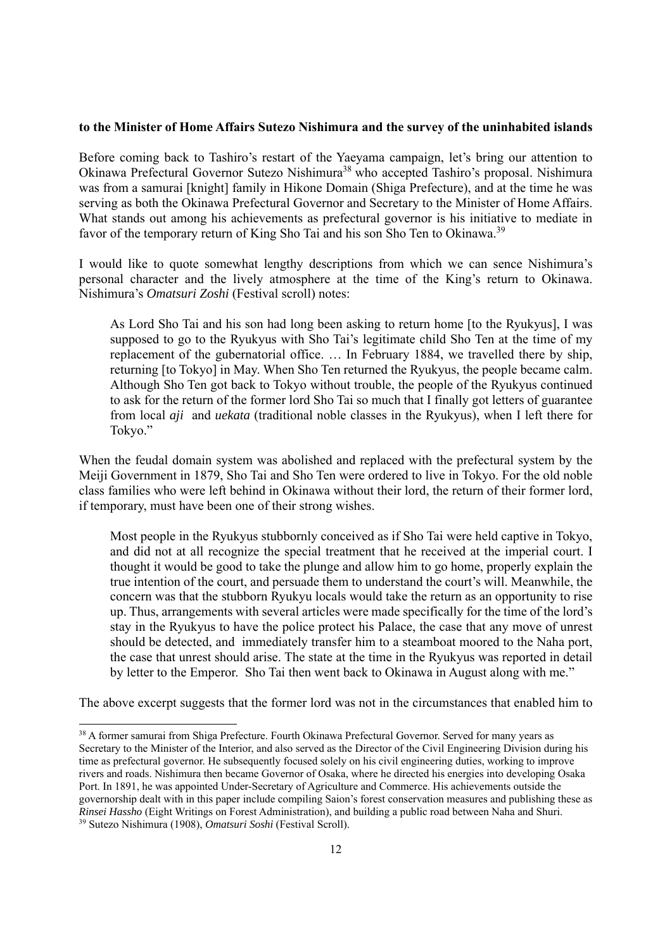#### **to the Minister of Home Affairs Sutezo Nishimura and the survey of the uninhabited islands**

Before coming back to Tashiro's restart of the Yaeyama campaign, let's bring our attention to Okinawa Prefectural Governor Sutezo Nishimura38 who accepted Tashiro's proposal. Nishimura was from a samurai [knight] family in Hikone Domain (Shiga Prefecture), and at the time he was serving as both the Okinawa Prefectural Governor and Secretary to the Minister of Home Affairs. What stands out among his achievements as prefectural governor is his initiative to mediate in favor of the temporary return of King Sho Tai and his son Sho Ten to Okinawa.<sup>39</sup>

I would like to quote somewhat lengthy descriptions from which we can sence Nishimura's personal character and the lively atmosphere at the time of the King's return to Okinawa. Nishimura's *Omatsuri Zoshi* (Festival scroll) notes:

As Lord Sho Tai and his son had long been asking to return home [to the Ryukyus], I was supposed to go to the Ryukyus with Sho Tai's legitimate child Sho Ten at the time of my replacement of the gubernatorial office. … In February 1884, we travelled there by ship, returning [to Tokyo] in May. When Sho Ten returned the Ryukyus, the people became calm. Although Sho Ten got back to Tokyo without trouble, the people of the Ryukyus continued to ask for the return of the former lord Sho Tai so much that I finally got letters of guarantee from local *aji* and *uekata* (traditional noble classes in the Ryukyus), when I left there for Tokyo."

When the feudal domain system was abolished and replaced with the prefectural system by the Meiji Government in 1879, Sho Tai and Sho Ten were ordered to live in Tokyo. For the old noble class families who were left behind in Okinawa without their lord, the return of their former lord, if temporary, must have been one of their strong wishes.

Most people in the Ryukyus stubbornly conceived as if Sho Tai were held captive in Tokyo, and did not at all recognize the special treatment that he received at the imperial court. I thought it would be good to take the plunge and allow him to go home, properly explain the true intention of the court, and persuade them to understand the court's will. Meanwhile, the concern was that the stubborn Ryukyu locals would take the return as an opportunity to rise up. Thus, arrangements with several articles were made specifically for the time of the lord's stay in the Ryukyus to have the police protect his Palace, the case that any move of unrest should be detected, and immediately transfer him to a steamboat moored to the Naha port, the case that unrest should arise. The state at the time in the Ryukyus was reported in detail by letter to the Emperor. Sho Tai then went back to Okinawa in August along with me."

The above excerpt suggests that the former lord was not in the circumstances that enabled him to

<sup>38</sup> A former samurai from Shiga Prefecture. Fourth Okinawa Prefectural Governor. Served for many years as Secretary to the Minister of the Interior, and also served as the Director of the Civil Engineering Division during his time as prefectural governor. He subsequently focused solely on his civil engineering duties, working to improve rivers and roads. Nishimura then became Governor of Osaka, where he directed his energies into developing Osaka Port. In 1891, he was appointed Under-Secretary of Agriculture and Commerce. His achievements outside the governorship dealt with in this paper include compiling Saion's forest conservation measures and publishing these as *Rinsei Hassho* (Eight Writings on Forest Administration), and building a public road between Naha and Shuri. 39 Sutezo Nishimura (1908), *Omatsuri Soshi* (Festival Scroll).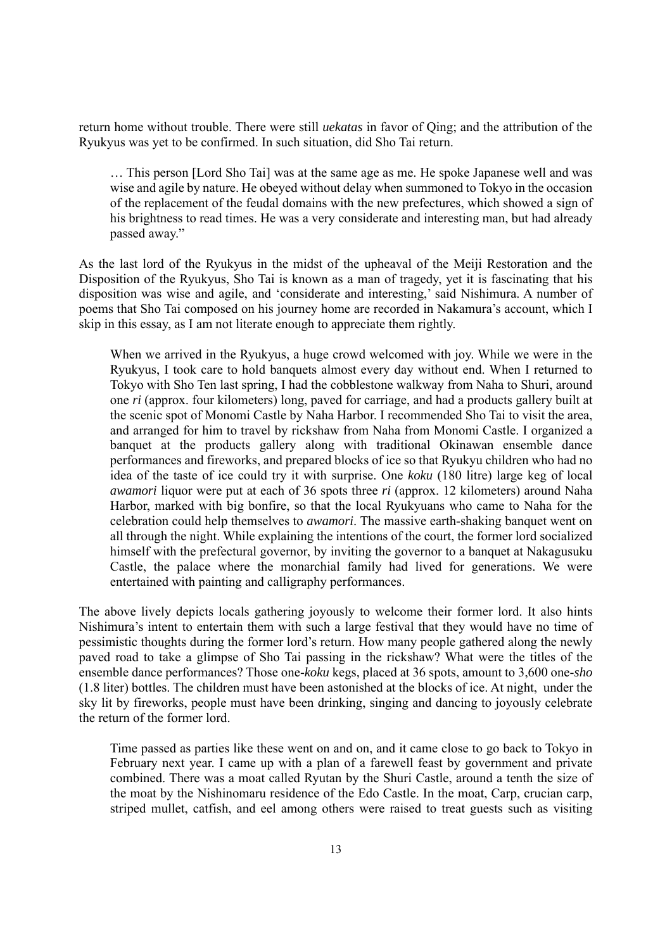return home without trouble. There were still *uekatas* in favor of Qing; and the attribution of the Ryukyus was yet to be confirmed. In such situation, did Sho Tai return.

… This person [Lord Sho Tai] was at the same age as me. He spoke Japanese well and was wise and agile by nature. He obeyed without delay when summoned to Tokyo in the occasion of the replacement of the feudal domains with the new prefectures, which showed a sign of his brightness to read times. He was a very considerate and interesting man, but had already passed away."

As the last lord of the Ryukyus in the midst of the upheaval of the Meiji Restoration and the Disposition of the Ryukyus, Sho Tai is known as a man of tragedy, yet it is fascinating that his disposition was wise and agile, and 'considerate and interesting,' said Nishimura. A number of poems that Sho Tai composed on his journey home are recorded in Nakamura's account, which I skip in this essay, as I am not literate enough to appreciate them rightly.

When we arrived in the Ryukyus, a huge crowd welcomed with joy. While we were in the Ryukyus, I took care to hold banquets almost every day without end. When I returned to Tokyo with Sho Ten last spring, I had the cobblestone walkway from Naha to Shuri, around one *ri* (approx. four kilometers) long, paved for carriage, and had a products gallery built at the scenic spot of Monomi Castle by Naha Harbor. I recommended Sho Tai to visit the area, and arranged for him to travel by rickshaw from Naha from Monomi Castle. I organized a banquet at the products gallery along with traditional Okinawan ensemble dance performances and fireworks, and prepared blocks of ice so that Ryukyu children who had no idea of the taste of ice could try it with surprise. One *koku* (180 litre) large keg of local *awamori* liquor were put at each of 36 spots three *ri* (approx. 12 kilometers) around Naha Harbor, marked with big bonfire, so that the local Ryukyuans who came to Naha for the celebration could help themselves to *awamori*. The massive earth-shaking banquet went on all through the night. While explaining the intentions of the court, the former lord socialized himself with the prefectural governor, by inviting the governor to a banquet at Nakagusuku Castle, the palace where the monarchial family had lived for generations. We were entertained with painting and calligraphy performances.

The above lively depicts locals gathering joyously to welcome their former lord. It also hints Nishimura's intent to entertain them with such a large festival that they would have no time of pessimistic thoughts during the former lord's return. How many people gathered along the newly paved road to take a glimpse of Sho Tai passing in the rickshaw? What were the titles of the ensemble dance performances? Those one-*koku* kegs, placed at 36 spots, amount to 3,600 one-*sho* (1.8 liter) bottles. The children must have been astonished at the blocks of ice. At night, under the sky lit by fireworks, people must have been drinking, singing and dancing to joyously celebrate the return of the former lord.

Time passed as parties like these went on and on, and it came close to go back to Tokyo in February next year. I came up with a plan of a farewell feast by government and private combined. There was a moat called Ryutan by the Shuri Castle, around a tenth the size of the moat by the Nishinomaru residence of the Edo Castle. In the moat, Carp, crucian carp, striped mullet, catfish, and eel among others were raised to treat guests such as visiting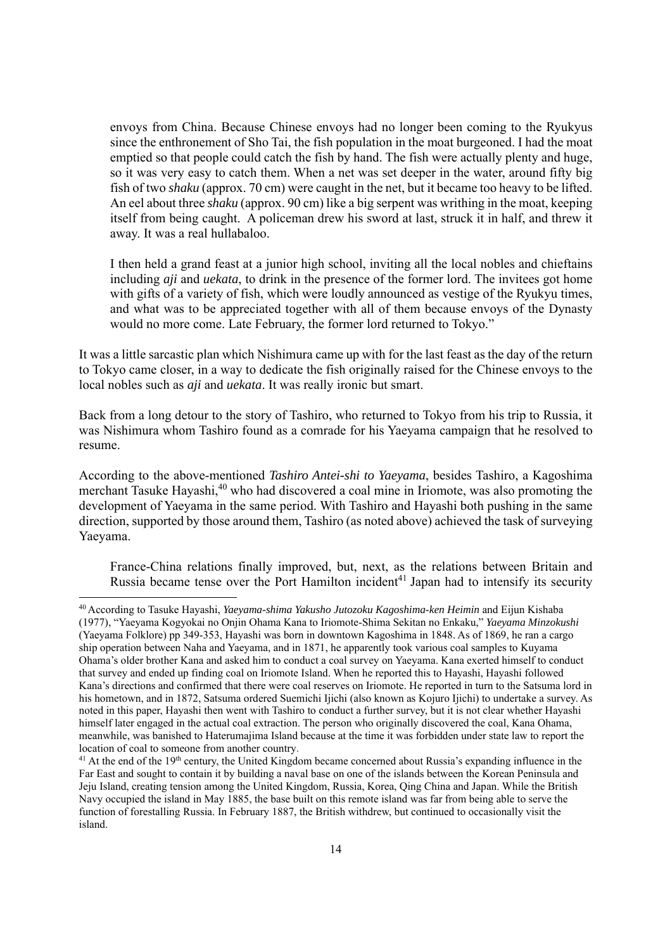envoys from China. Because Chinese envoys had no longer been coming to the Ryukyus since the enthronement of Sho Tai, the fish population in the moat burgeoned. I had the moat emptied so that people could catch the fish by hand. The fish were actually plenty and huge, so it was very easy to catch them. When a net was set deeper in the water, around fifty big fish of two *shaku* (approx. 70 cm) were caught in the net, but it became too heavy to be lifted. An eel about three *shaku* (approx. 90 cm) like a big serpent was writhing in the moat, keeping itself from being caught. A policeman drew his sword at last, struck it in half, and threw it away. It was a real hullabaloo.

I then held a grand feast at a junior high school, inviting all the local nobles and chieftains including *aji* and *uekata*, to drink in the presence of the former lord. The invitees got home with gifts of a variety of fish, which were loudly announced as vestige of the Ryukyu times, and what was to be appreciated together with all of them because envoys of the Dynasty would no more come. Late February, the former lord returned to Tokyo."

It was a little sarcastic plan which Nishimura came up with for the last feast as the day of the return to Tokyo came closer, in a way to dedicate the fish originally raised for the Chinese envoys to the local nobles such as *aji* and *uekata*. It was really ironic but smart.

Back from a long detour to the story of Tashiro, who returned to Tokyo from his trip to Russia, it was Nishimura whom Tashiro found as a comrade for his Yaeyama campaign that he resolved to resume.

According to the above-mentioned *Tashiro Antei-shi to Yaeyama*, besides Tashiro, a Kagoshima merchant Tasuke Hayashi,<sup>40</sup> who had discovered a coal mine in Iriomote, was also promoting the development of Yaeyama in the same period. With Tashiro and Hayashi both pushing in the same direction, supported by those around them, Tashiro (as noted above) achieved the task of surveying Yaeyama.

France-China relations finally improved, but, next, as the relations between Britain and Russia became tense over the Port Hamilton incident<sup>41</sup> Japan had to intensify its security

<sup>40</sup> According to Tasuke Hayashi, *Yaeyama-shima Yakusho Jutozoku Kagoshima-ken Heimin* and Eijun Kishaba (1977), "Yaeyama Kogyokai no Onjin Ohama Kana to Iriomote-Shima Sekitan no Enkaku," *Yaeyama Minzokushi* (Yaeyama Folklore) pp 349-353, Hayashi was born in downtown Kagoshima in 1848. As of 1869, he ran a cargo ship operation between Naha and Yaeyama, and in 1871, he apparently took various coal samples to Kuyama Ohama's older brother Kana and asked him to conduct a coal survey on Yaeyama. Kana exerted himself to conduct that survey and ended up finding coal on Iriomote Island. When he reported this to Hayashi, Hayashi followed Kana's directions and confirmed that there were coal reserves on Iriomote. He reported in turn to the Satsuma lord in his hometown, and in 1872, Satsuma ordered Suemichi Ijichi (also known as Kojuro Ijichi) to undertake a survey. As noted in this paper, Hayashi then went with Tashiro to conduct a further survey, but it is not clear whether Hayashi himself later engaged in the actual coal extraction. The person who originally discovered the coal, Kana Ohama, meanwhile, was banished to Haterumajima Island because at the time it was forbidden under state law to report the location of coal to someone from another country.

<sup>&</sup>lt;sup>41</sup> At the end of the 19<sup>th</sup> century, the United Kingdom became concerned about Russia's expanding influence in the Far East and sought to contain it by building a naval base on one of the islands between the Korean Peninsula and Jeju Island, creating tension among the United Kingdom, Russia, Korea, Qing China and Japan. While the British Navy occupied the island in May 1885, the base built on this remote island was far from being able to serve the function of forestalling Russia. In February 1887, the British withdrew, but continued to occasionally visit the island.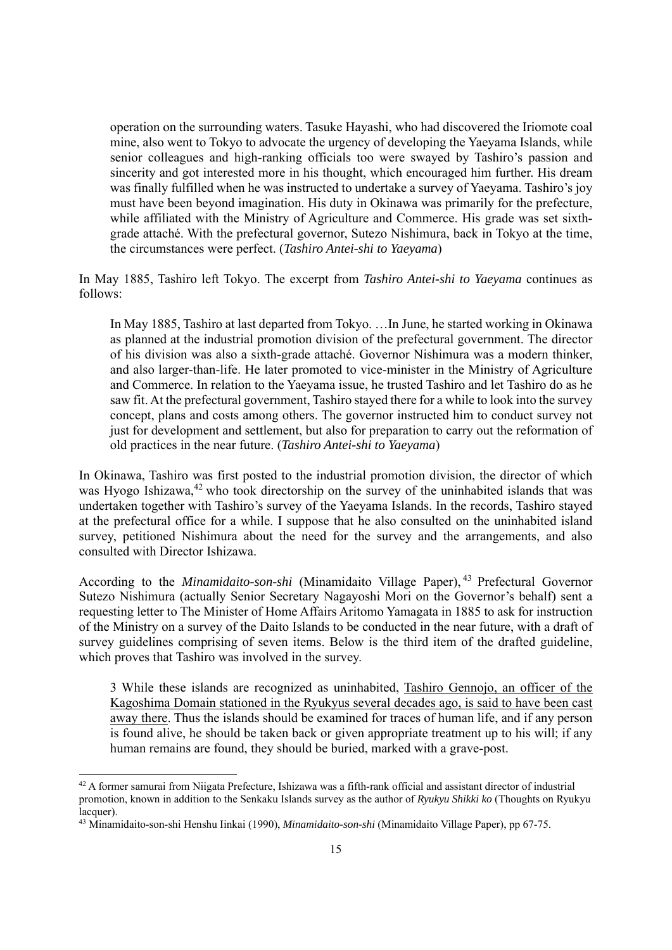operation on the surrounding waters. Tasuke Hayashi, who had discovered the Iriomote coal mine, also went to Tokyo to advocate the urgency of developing the Yaeyama Islands, while senior colleagues and high-ranking officials too were swayed by Tashiro's passion and sincerity and got interested more in his thought, which encouraged him further. His dream was finally fulfilled when he was instructed to undertake a survey of Yaeyama. Tashiro's joy must have been beyond imagination. His duty in Okinawa was primarily for the prefecture, while affiliated with the Ministry of Agriculture and Commerce. His grade was set sixthgrade attaché. With the prefectural governor, Sutezo Nishimura, back in Tokyo at the time, the circumstances were perfect. (*Tashiro Antei-shi to Yaeyama*)

In May 1885, Tashiro left Tokyo. The excerpt from *Tashiro Antei-shi to Yaeyama* continues as follows:

In May 1885, Tashiro at last departed from Tokyo. …In June, he started working in Okinawa as planned at the industrial promotion division of the prefectural government. The director of his division was also a sixth-grade attaché. Governor Nishimura was a modern thinker, and also larger-than-life. He later promoted to vice-minister in the Ministry of Agriculture and Commerce. In relation to the Yaeyama issue, he trusted Tashiro and let Tashiro do as he saw fit. At the prefectural government, Tashiro stayed there for a while to look into the survey concept, plans and costs among others. The governor instructed him to conduct survey not just for development and settlement, but also for preparation to carry out the reformation of old practices in the near future. (*Tashiro Antei-shi to Yaeyama*)

In Okinawa, Tashiro was first posted to the industrial promotion division, the director of which was Hyogo Ishizawa,<sup>42</sup> who took directorship on the survey of the uninhabited islands that was undertaken together with Tashiro's survey of the Yaeyama Islands. In the records, Tashiro stayed at the prefectural office for a while. I suppose that he also consulted on the uninhabited island survey, petitioned Nishimura about the need for the survey and the arrangements, and also consulted with Director Ishizawa.

According to the *Minamidaito-son-shi* (Minamidaito Village Paper), <sup>43</sup> Prefectural Governor Sutezo Nishimura (actually Senior Secretary Nagayoshi Mori on the Governor's behalf) sent a requesting letter to The Minister of Home Affairs Aritomo Yamagata in 1885 to ask for instruction of the Ministry on a survey of the Daito Islands to be conducted in the near future, with a draft of survey guidelines comprising of seven items. Below is the third item of the drafted guideline, which proves that Tashiro was involved in the survey.

3 While these islands are recognized as uninhabited, Tashiro Gennojo, an officer of the Kagoshima Domain stationed in the Ryukyus several decades ago, is said to have been cast away there. Thus the islands should be examined for traces of human life, and if any person is found alive, he should be taken back or given appropriate treatment up to his will; if any human remains are found, they should be buried, marked with a grave-post.

<sup>42</sup> A former samurai from Niigata Prefecture, Ishizawa was a fifth-rank official and assistant director of industrial promotion, known in addition to the Senkaku Islands survey as the author of *Ryukyu Shikki ko* (Thoughts on Ryukyu lacquer).

<sup>43</sup> Minamidaito-son-shi Henshu Iinkai (1990), *Minamidaito-son-shi* (Minamidaito Village Paper), pp 67-75.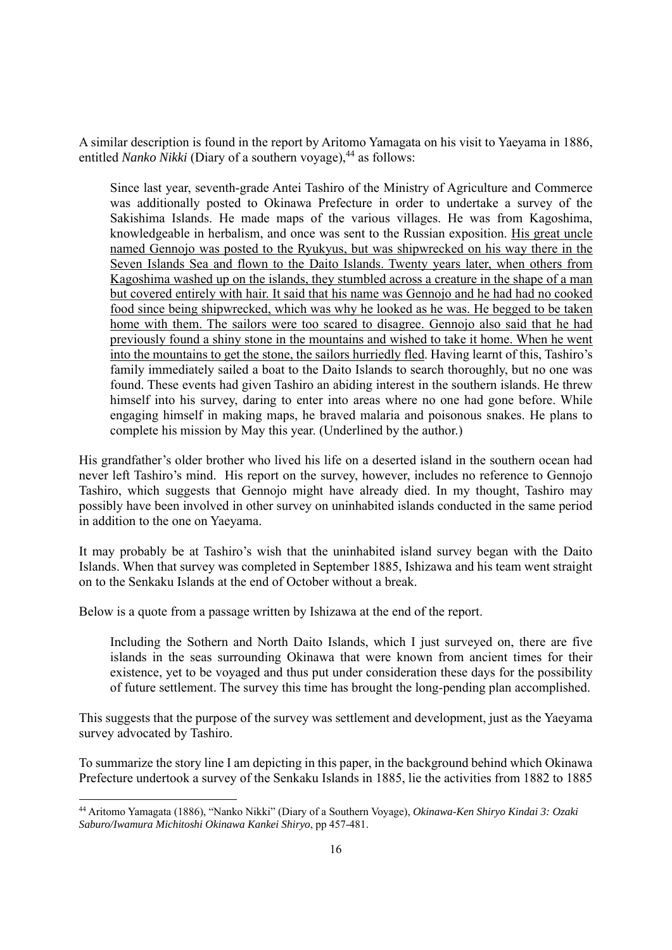A similar description is found in the report by Aritomo Yamagata on his visit to Yaeyama in 1886, entitled *Nanko Nikki* (Diary of a southern voyage),<sup>44</sup> as follows:

Since last year, seventh-grade Antei Tashiro of the Ministry of Agriculture and Commerce was additionally posted to Okinawa Prefecture in order to undertake a survey of the Sakishima Islands. He made maps of the various villages. He was from Kagoshima, knowledgeable in herbalism, and once was sent to the Russian exposition. His great uncle named Gennojo was posted to the Ryukyus, but was shipwrecked on his way there in the Seven Islands Sea and flown to the Daito Islands. Twenty years later, when others from Kagoshima washed up on the islands, they stumbled across a creature in the shape of a man but covered entirely with hair. It said that his name was Gennojo and he had had no cooked food since being shipwrecked, which was why he looked as he was. He begged to be taken home with them. The sailors were too scared to disagree. Gennojo also said that he had previously found a shiny stone in the mountains and wished to take it home. When he went into the mountains to get the stone, the sailors hurriedly fled. Having learnt of this, Tashiro's family immediately sailed a boat to the Daito Islands to search thoroughly, but no one was found. These events had given Tashiro an abiding interest in the southern islands. He threw himself into his survey, daring to enter into areas where no one had gone before. While engaging himself in making maps, he braved malaria and poisonous snakes. He plans to complete his mission by May this year. (Underlined by the author.)

His grandfather's older brother who lived his life on a deserted island in the southern ocean had never left Tashiro's mind. His report on the survey, however, includes no reference to Gennojo Tashiro, which suggests that Gennojo might have already died. In my thought, Tashiro may possibly have been involved in other survey on uninhabited islands conducted in the same period in addition to the one on Yaeyama.

It may probably be at Tashiro's wish that the uninhabited island survey began with the Daito Islands. When that survey was completed in September 1885, Ishizawa and his team went straight on to the Senkaku Islands at the end of October without a break.

Below is a quote from a passage written by Ishizawa at the end of the report.

Including the Sothern and North Daito Islands, which I just surveyed on, there are five islands in the seas surrounding Okinawa that were known from ancient times for their existence, yet to be voyaged and thus put under consideration these days for the possibility of future settlement. The survey this time has brought the long-pending plan accomplished.

This suggests that the purpose of the survey was settlement and development, just as the Yaeyama survey advocated by Tashiro.

To summarize the story line I am depicting in this paper, in the background behind which Okinawa Prefecture undertook a survey of the Senkaku Islands in 1885, lie the activities from 1882 to 1885

<sup>44</sup> Aritomo Yamagata (1886), "Nanko Nikki" (Diary of a Southern Voyage), *Okinawa-Ken Shiryo Kindai 3: Ozaki Saburo/Iwamura Michitoshi Okinawa Kankei Shiryo*, pp 457-481.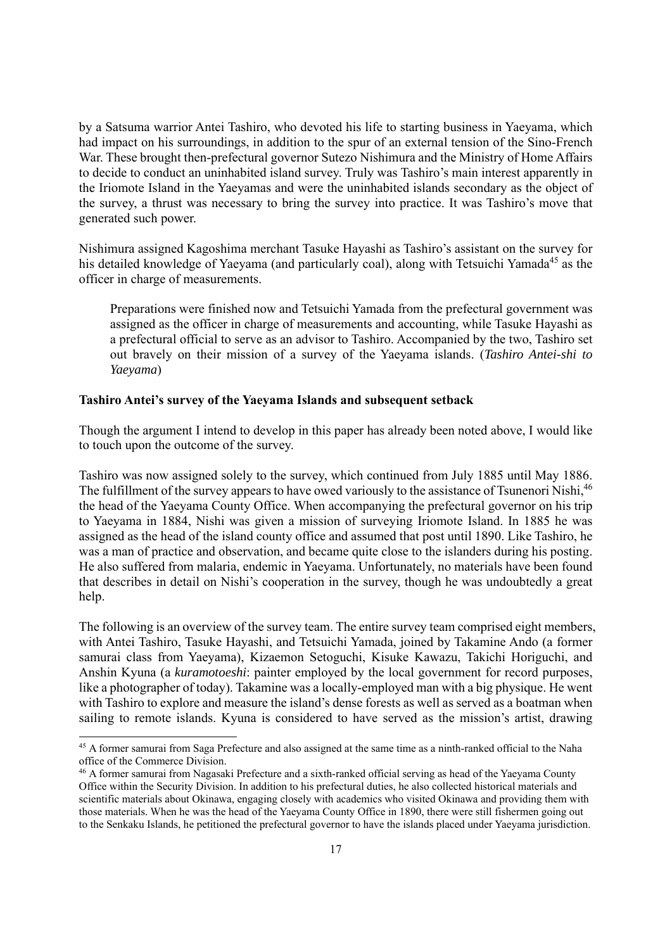by a Satsuma warrior Antei Tashiro, who devoted his life to starting business in Yaeyama, which had impact on his surroundings, in addition to the spur of an external tension of the Sino-French War. These brought then-prefectural governor Sutezo Nishimura and the Ministry of Home Affairs to decide to conduct an uninhabited island survey. Truly was Tashiro's main interest apparently in the Iriomote Island in the Yaeyamas and were the uninhabited islands secondary as the object of the survey, a thrust was necessary to bring the survey into practice. It was Tashiro's move that generated such power.

Nishimura assigned Kagoshima merchant Tasuke Hayashi as Tashiro's assistant on the survey for his detailed knowledge of Yaeyama (and particularly coal), along with Tetsuichi Yamada<sup>45</sup> as the officer in charge of measurements.

Preparations were finished now and Tetsuichi Yamada from the prefectural government was assigned as the officer in charge of measurements and accounting, while Tasuke Hayashi as a prefectural official to serve as an advisor to Tashiro. Accompanied by the two, Tashiro set out bravely on their mission of a survey of the Yaeyama islands. (*Tashiro Antei-shi to Yaeyama*)

# **Tashiro Antei's survey of the Yaeyama Islands and subsequent setback**

Though the argument I intend to develop in this paper has already been noted above, I would like to touch upon the outcome of the survey.

Tashiro was now assigned solely to the survey, which continued from July 1885 until May 1886. The fulfillment of the survey appears to have owed variously to the assistance of Tsunenori Nishi, <sup>46</sup> the head of the Yaeyama County Office. When accompanying the prefectural governor on his trip to Yaeyama in 1884, Nishi was given a mission of surveying Iriomote Island. In 1885 he was assigned as the head of the island county office and assumed that post until 1890. Like Tashiro, he was a man of practice and observation, and became quite close to the islanders during his posting. He also suffered from malaria, endemic in Yaeyama. Unfortunately, no materials have been found that describes in detail on Nishi's cooperation in the survey, though he was undoubtedly a great help.

The following is an overview of the survey team. The entire survey team comprised eight members, with Antei Tashiro, Tasuke Hayashi, and Tetsuichi Yamada, joined by Takamine Ando (a former samurai class from Yaeyama), Kizaemon Setoguchi, Kisuke Kawazu, Takichi Horiguchi, and Anshin Kyuna (a *kuramotoeshi*: painter employed by the local government for record purposes, like a photographer of today). Takamine was a locally-employed man with a big physique. He went with Tashiro to explore and measure the island's dense forests as well as served as a boatman when sailing to remote islands. Kyuna is considered to have served as the mission's artist, drawing

<sup>&</sup>lt;sup>45</sup> A former samurai from Saga Prefecture and also assigned at the same time as a ninth-ranked official to the Naha office of the Commerce Division.

<sup>46</sup> A former samurai from Nagasaki Prefecture and a sixth-ranked official serving as head of the Yaeyama County Office within the Security Division. In addition to his prefectural duties, he also collected historical materials and scientific materials about Okinawa, engaging closely with academics who visited Okinawa and providing them with those materials. When he was the head of the Yaeyama County Office in 1890, there were still fishermen going out to the Senkaku Islands, he petitioned the prefectural governor to have the islands placed under Yaeyama jurisdiction.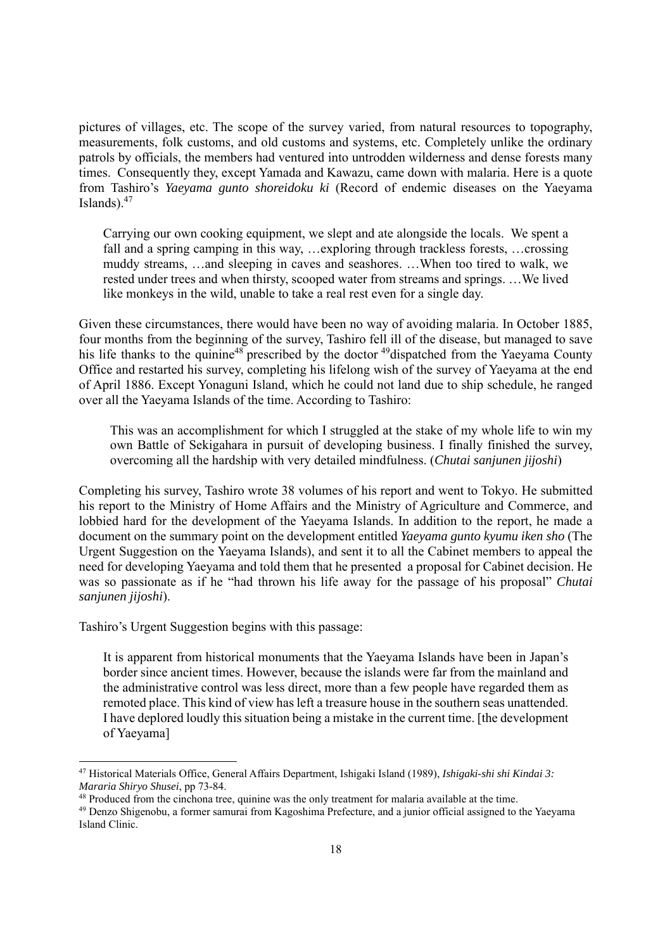pictures of villages, etc. The scope of the survey varied, from natural resources to topography, measurements, folk customs, and old customs and systems, etc. Completely unlike the ordinary patrols by officials, the members had ventured into untrodden wilderness and dense forests many times. Consequently they, except Yamada and Kawazu, came down with malaria. Here is a quote from Tashiro's *Yaeyama gunto shoreidoku ki* (Record of endemic diseases on the Yaeyama Islands). $47$ 

Carrying our own cooking equipment, we slept and ate alongside the locals. We spent a fall and a spring camping in this way, …exploring through trackless forests, …crossing muddy streams, …and sleeping in caves and seashores. …When too tired to walk, we rested under trees and when thirsty, scooped water from streams and springs. …We lived like monkeys in the wild, unable to take a real rest even for a single day.

Given these circumstances, there would have been no way of avoiding malaria. In October 1885, four months from the beginning of the survey, Tashiro fell ill of the disease, but managed to save his life thanks to the quinine<sup>48</sup> prescribed by the doctor <sup>49</sup>dispatched from the Yaeyama County Office and restarted his survey, completing his lifelong wish of the survey of Yaeyama at the end of April 1886. Except Yonaguni Island, which he could not land due to ship schedule, he ranged over all the Yaeyama Islands of the time. According to Tashiro:

This was an accomplishment for which I struggled at the stake of my whole life to win my own Battle of Sekigahara in pursuit of developing business. I finally finished the survey, overcoming all the hardship with very detailed mindfulness. (*Chutai sanjunen jijoshi*)

Completing his survey, Tashiro wrote 38 volumes of his report and went to Tokyo. He submitted his report to the Ministry of Home Affairs and the Ministry of Agriculture and Commerce, and lobbied hard for the development of the Yaeyama Islands. In addition to the report, he made a document on the summary point on the development entitled *Yaeyama gunto kyumu iken sho* (The Urgent Suggestion on the Yaeyama Islands), and sent it to all the Cabinet members to appeal the need for developing Yaeyama and told them that he presented a proposal for Cabinet decision. He was so passionate as if he "had thrown his life away for the passage of his proposal" *Chutai sanjunen jijoshi*).

Tashiro's Urgent Suggestion begins with this passage:

It is apparent from historical monuments that the Yaeyama Islands have been in Japan's border since ancient times. However, because the islands were far from the mainland and the administrative control was less direct, more than a few people have regarded them as remoted place. This kind of view has left a treasure house in the southern seas unattended. I have deplored loudly this situation being a mistake in the current time. [the development of Yaeyama]

<sup>47</sup> Historical Materials Office, General Affairs Department, Ishigaki Island (1989), *Ishigaki-shi shi Kindai 3:*  Mararia Shiryo Shusei, pp 73-84.<br><sup>48</sup> Produced from the cinchona tree, quinine was the only treatment for malaria available at the time.<br><sup>49</sup> Denzo Shigenobu, a former samurai from Kagoshima Prefecture, and a junior offici

Island Clinic.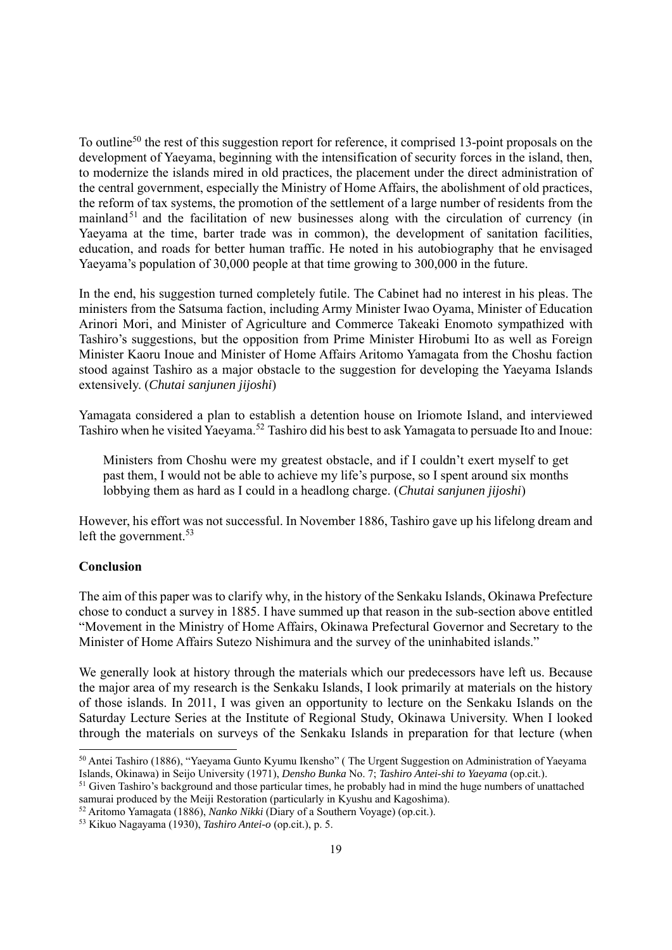To outline<sup>50</sup> the rest of this suggestion report for reference, it comprised 13-point proposals on the development of Yaeyama, beginning with the intensification of security forces in the island, then, to modernize the islands mired in old practices, the placement under the direct administration of the central government, especially the Ministry of Home Affairs, the abolishment of old practices, the reform of tax systems, the promotion of the settlement of a large number of residents from the mainland<sup>51</sup> and the facilitation of new businesses along with the circulation of currency (in Yaeyama at the time, barter trade was in common), the development of sanitation facilities, education, and roads for better human traffic. He noted in his autobiography that he envisaged Yaeyama's population of 30,000 people at that time growing to 300,000 in the future.

In the end, his suggestion turned completely futile. The Cabinet had no interest in his pleas. The ministers from the Satsuma faction, including Army Minister Iwao Oyama, Minister of Education Arinori Mori, and Minister of Agriculture and Commerce Takeaki Enomoto sympathized with Tashiro's suggestions, but the opposition from Prime Minister Hirobumi Ito as well as Foreign Minister Kaoru Inoue and Minister of Home Affairs Aritomo Yamagata from the Choshu faction stood against Tashiro as a major obstacle to the suggestion for developing the Yaeyama Islands extensively. (*Chutai sanjunen jijoshi*)

Yamagata considered a plan to establish a detention house on Iriomote Island, and interviewed Tashiro when he visited Yaeyama.52 Tashiro did his best to ask Yamagata to persuade Ito and Inoue:

Ministers from Choshu were my greatest obstacle, and if I couldn't exert myself to get past them, I would not be able to achieve my life's purpose, so I spent around six months lobbying them as hard as I could in a headlong charge. (*Chutai sanjunen jijoshi*)

However, his effort was not successful. In November 1886, Tashiro gave up his lifelong dream and left the government.<sup>53</sup>

## **Conclusion**

The aim of this paper was to clarify why, in the history of the Senkaku Islands, Okinawa Prefecture chose to conduct a survey in 1885. I have summed up that reason in the sub-section above entitled "Movement in the Ministry of Home Affairs, Okinawa Prefectural Governor and Secretary to the Minister of Home Affairs Sutezo Nishimura and the survey of the uninhabited islands."

We generally look at history through the materials which our predecessors have left us. Because the major area of my research is the Senkaku Islands, I look primarily at materials on the history of those islands. In 2011, I was given an opportunity to lecture on the Senkaku Islands on the Saturday Lecture Series at the Institute of Regional Study, Okinawa University. When I looked through the materials on surveys of the Senkaku Islands in preparation for that lecture (when

<sup>&</sup>lt;sup>50</sup> Antei Tashiro (1886), "Yaeyama Gunto Kyumu Ikensho" (The Urgent Suggestion on Administration of Yaeyama Islands, Okinawa) in Seijo University (1971), *Densho Bunka* No. 7; *Tashiro Antei-shi to Yaeyama* (op.cit.).

<sup>&</sup>lt;sup>51</sup> Given Tashiro's background and those particular times, he probably had in mind the huge numbers of unattached samurai produced by the Meiji Restoration (particularly in Kyushu and Kagoshima).

<sup>&</sup>lt;sup>52</sup> Aritomo Yamagata (1886), *Nanko Nikki* (Diary of a Southern Voyage) (op.cit.).

<sup>53</sup> Kikuo Nagayama (1930), *Tashiro Antei-o* (op.cit.), p. 5.